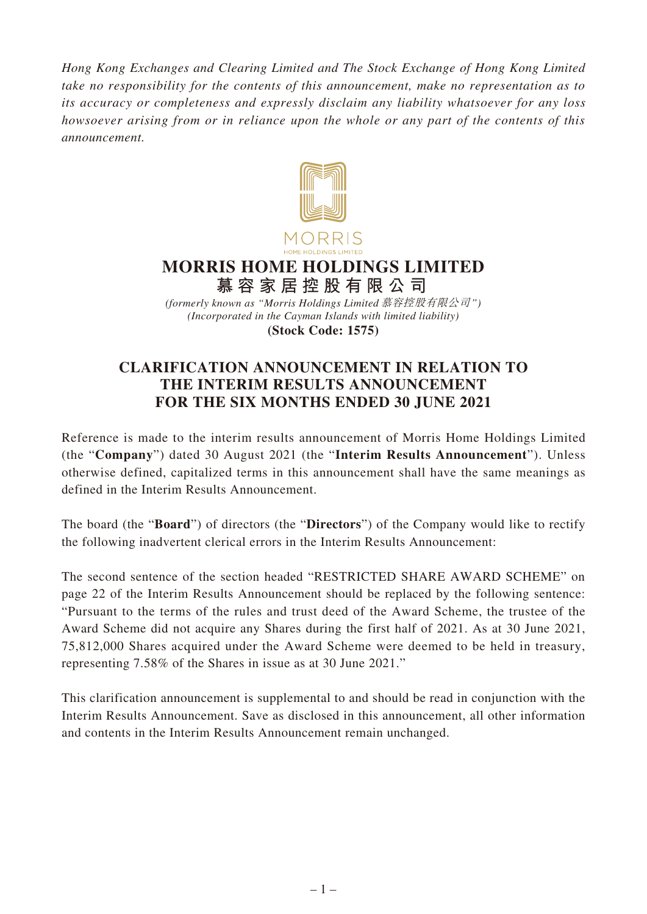*Hong Kong Exchanges and Clearing Limited and The Stock Exchange of Hong Kong Limited take no responsibility for the contents of this announcement, make no representation as to its accuracy or completeness and expressly disclaim any liability whatsoever for any loss howsoever arising from or in reliance upon the whole or any part of the contents of this announcement.*



## **MORRIS HOME HOLDINGS LIMITED 慕容家居控股有限公司**

*(Incorporated in the Cayman Islands with limited liability)* **(Stock Code: 1575)** *(formerly known as "Morris Holdings Limited* 慕容控股有限公司*")*

## **CLARIFICATION ANNOUNCEMENT IN RELATION TO THE INTERIM RESULTS ANNOUNCEMENT FOR THE SIX MONTHS ENDED 30 JUNE 2021**

Reference is made to the interim results announcement of Morris Home Holdings Limited (the "**Company**") dated 30 August 2021 (the "**Interim Results Announcement**"). Unless otherwise defined, capitalized terms in this announcement shall have the same meanings as defined in the Interim Results Announcement.

The board (the "**Board**") of directors (the "**Directors**") of the Company would like to rectify the following inadvertent clerical errors in the Interim Results Announcement:

The second sentence of the section headed "RESTRICTED SHARE AWARD SCHEME" on page 22 of the Interim Results Announcement should be replaced by the following sentence: "Pursuant to the terms of the rules and trust deed of the Award Scheme, the trustee of the Award Scheme did not acquire any Shares during the first half of 2021. As at 30 June 2021, 75,812,000 Shares acquired under the Award Scheme were deemed to be held in treasury, representing 7.58% of the Shares in issue as at 30 June 2021."

This clarification announcement is supplemental to and should be read in conjunction with the Interim Results Announcement. Save as disclosed in this announcement, all other information and contents in the Interim Results Announcement remain unchanged.